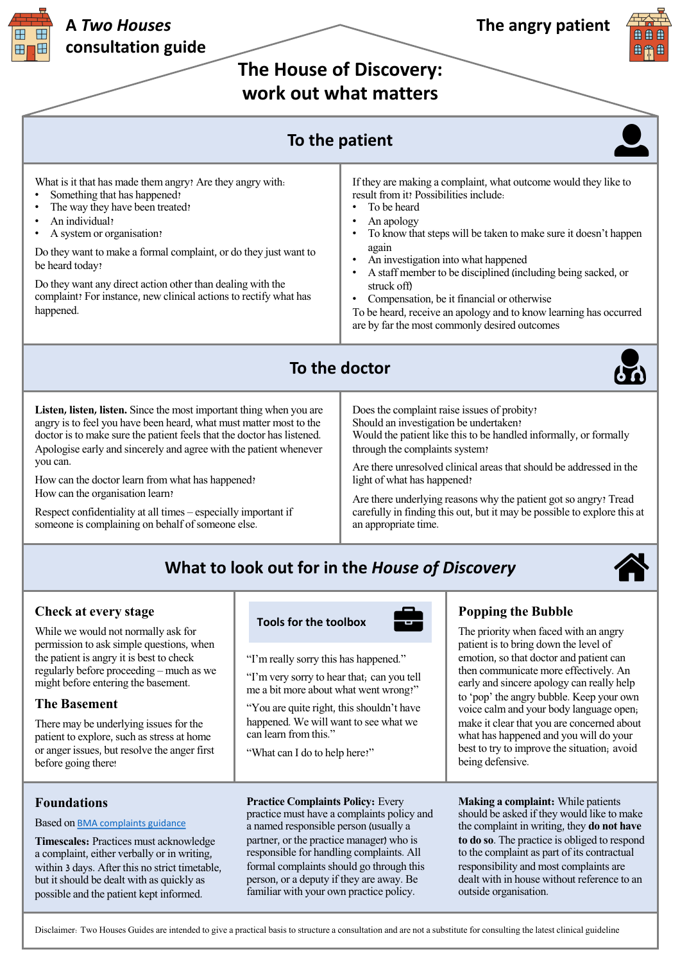**The House of Discovery: work out what matters**

| work out what matters                                                                                                                                                                                                                                                                                                                                                                                                                                                                                              |                                                                                                                                                                                                                                                                                                                                                                                                                                                                                                              |
|--------------------------------------------------------------------------------------------------------------------------------------------------------------------------------------------------------------------------------------------------------------------------------------------------------------------------------------------------------------------------------------------------------------------------------------------------------------------------------------------------------------------|--------------------------------------------------------------------------------------------------------------------------------------------------------------------------------------------------------------------------------------------------------------------------------------------------------------------------------------------------------------------------------------------------------------------------------------------------------------------------------------------------------------|
| To the patient                                                                                                                                                                                                                                                                                                                                                                                                                                                                                                     |                                                                                                                                                                                                                                                                                                                                                                                                                                                                                                              |
| What is it that has made them angry? Are they angry with.<br>Something that has happened?<br>The way they have been treated?<br>An individual?<br>A system or organisation?<br>Do they want to make a formal complaint, or do they just want to<br>be heard today?<br>Do they want any direct action other than dealing with the<br>complaint? For instance, new clinical actions to rectify what has<br>happened.                                                                                                 | If they are making a complaint, what outcome would they like to<br>result from it? Possibilities include:<br>To be heard<br>An apology<br>To know that steps will be taken to make sure it doesn't happen<br>again<br>An investigation into what happened<br>A staff member to be disciplined (including being sacked, or<br>struck off)<br>Compensation, be it financial or otherwise<br>To be heard, receive an apology and to know learning has occurred<br>are by far the most commonly desired outcomes |
|                                                                                                                                                                                                                                                                                                                                                                                                                                                                                                                    | To the doctor                                                                                                                                                                                                                                                                                                                                                                                                                                                                                                |
| Listen, listen, listen. Since the most important thing when you are<br>angry is to feel you have been heard, what must matter most to the<br>doctor is to make sure the patient feels that the doctor has listened.<br>Apologise early and sincerely and agree with the patient whenever<br>you can.<br>How can the doctor learn from what has happened?<br>How can the organisation learn?<br>Respect confidentiality at all times – especially important if<br>someone is complaining on behalf of someone else. | Does the complaint raise issues of probity?<br>Should an investigation be undertaken?<br>Would the patient like this to be handled informally, or formally<br>through the complaints system?<br>Are there unresolved clinical areas that should be addressed in the<br>light of what has happened?<br>Are there underlying reasons why the patient got so angry? Tread<br>carefully in finding this out, but it may be possible to explore this at<br>an appropriate time.                                   |
| What to look out for in the House of Discovery                                                                                                                                                                                                                                                                                                                                                                                                                                                                     |                                                                                                                                                                                                                                                                                                                                                                                                                                                                                                              |

## **Check at every stage**

While we would not normally ask for permission to ask simple questions, when the patient is angry it is best to check regularly before proceeding – much as we might before entering the basement.

### **The Basement**

There may be underlying issues for the patient to explore, such as stress at home or anger issues, but resolve the anger first before going there!

### **Foundations**

#### Based on BMA complaints guidance

**Timescales:** Practices must acknowledge a complaint, either verbally or in writing, within 3 days. After this no strict timetable, but it sho[uld be dealt with as quickl](https://www.bma.org.uk/advice-and-support/complaints-and-concerns/complaints/dealing-with-complaints-made-against-you-personally)y as possible and the patient kept informed.

**Tools for the toolbox**

"I'm really sorry this has happened."

"I'm very sorry to hear that; can you tell me a bit more about what went wrong?"

"You are quite right, this shouldn't have happened. We will want to see what we can learn from this."

"What can I do to help here?"

**Practice Complaints Policy:** Every practice must have a complaints policy and a named responsible person (usually a partner, or the practice manager) who is responsible for handling complaints. All formal complaints should go through this person, or a deputy if they are away. Be familiar with your own practice policy.

### **Popping the Bubble**

The priority when faced with an angry patient is to bring down the level of emotion, so that doctor and patient can then communicate more effectively. An early and sincere apology can really help to 'pop' the angry bubble. Keep your own voice calm and your body language open; make it clear that you are concerned about what has happened and you will do your best to try to improve the situation; avoid being defensive.

**Making a complaint:** While patients should be asked if they would like to make the complaint in writing, they **do not have to do so**. The practice is obliged to respond to the complaint as part of its contractual responsibility and most complaints are dealt with in house without reference to an outside organisation.

Disclaimer: Two Houses Guides are intended to give a practical basis to structure a consultation and are not a substitute for consulting the latest clinical guideline